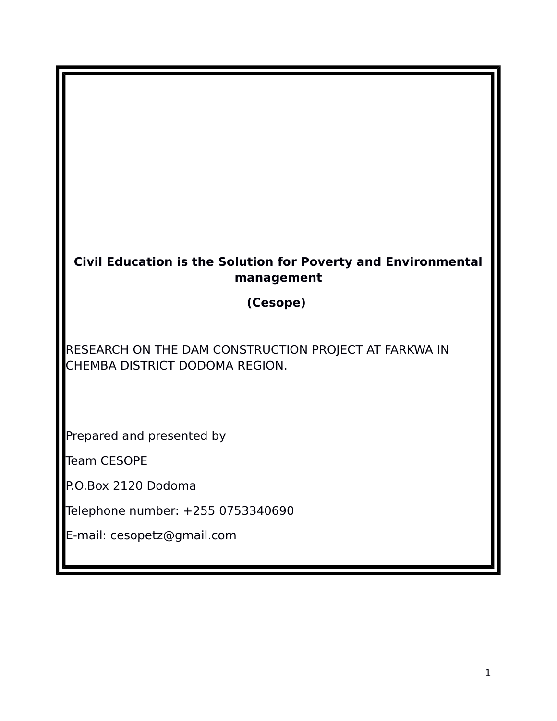# **Civil Education is the Solution for Poverty and Environmental management**

#### **(Cesope)**

RESEARCH ON THE DAM CONSTRUCTION PROJECT AT FARKWA IN CHEMBA DISTRICT DODOMA REGION.

Prepared and presented by

Team CESOPE

P.O.Box 2120 Dodoma

Telephone number: +255 0753340690

E-mail: cesopetz@gmail.com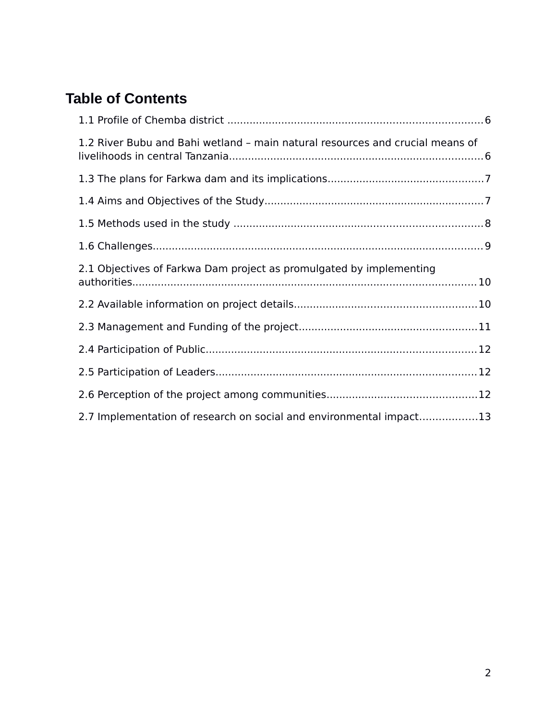# **Table of Contents**

| 1.2 River Bubu and Bahi wetland - main natural resources and crucial means of |  |
|-------------------------------------------------------------------------------|--|
|                                                                               |  |
|                                                                               |  |
|                                                                               |  |
|                                                                               |  |
| 2.1 Objectives of Farkwa Dam project as promulgated by implementing           |  |
|                                                                               |  |
|                                                                               |  |
|                                                                               |  |
|                                                                               |  |
|                                                                               |  |
| 2.7 Implementation of research on social and environmental impact13           |  |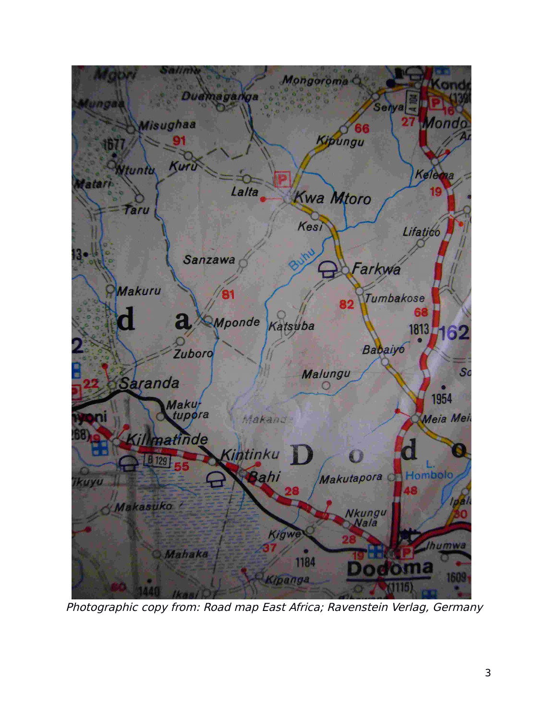

Photographic copy from: Road map East Africa; Ravenstein Verlag, Germany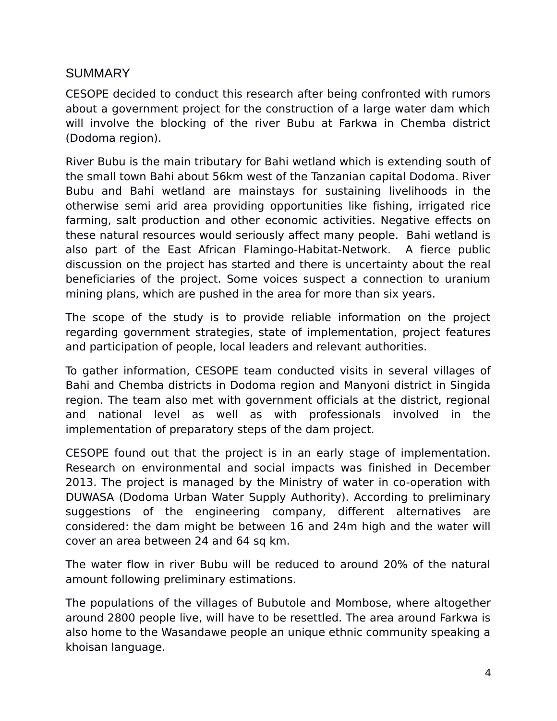#### **SUMMARY**

CESOPE decided to conduct this research after being confronted with rumors about a government project for the construction of a large water dam which will involve the blocking of the river Bubu at Farkwa in Chemba district (Dodoma region).

River Bubu is the main tributary for Bahi wetland which is extending south of the small town Bahi about 56km west of the Tanzanian capital Dodoma. River Bubu and Bahi wetland are mainstays for sustaining livelihoods in the otherwise semi arid area providing opportunities like fishing, irrigated rice farming, salt production and other economic activities. Negative effects on these natural resources would seriously affect many people. Bahi wetland is also part of the East African Flamingo-Habitat-Network. A fierce public discussion on the project has started and there is uncertainty about the real beneficiaries of the project. Some voices suspect a connection to uranium mining plans, which are pushed in the area for more than six years.

The scope of the study is to provide reliable information on the project regarding government strategies, state of implementation, project features and participation of people, local leaders and relevant authorities.

To gather information, CESOPE team conducted visits in several villages of Bahi and Chemba districts in Dodoma region and Manyoni district in Singida region. The team also met with government officials at the district, regional and national level as well as with professionals involved in the implementation of preparatory steps of the dam project.

CESOPE found out that the project is in an early stage of implementation. Research on environmental and social impacts was finished in December 2013. The project is managed by the Ministry of water in co-operation with DUWASA (Dodoma Urban Water Supply Authority). According to preliminary suggestions of the engineering company, different alternatives are considered: the dam might be between 16 and 24m high and the water will cover an area between 24 and 64 sq km.

The water flow in river Bubu will be reduced to around 20% of the natural amount following preliminary estimations.

The populations of the villages of Bubutole and Mombose, where altogether around 2800 people live, will have to be resettled. The area around Farkwa is also home to the Wasandawe people an unique ethnic community speaking a khoisan language.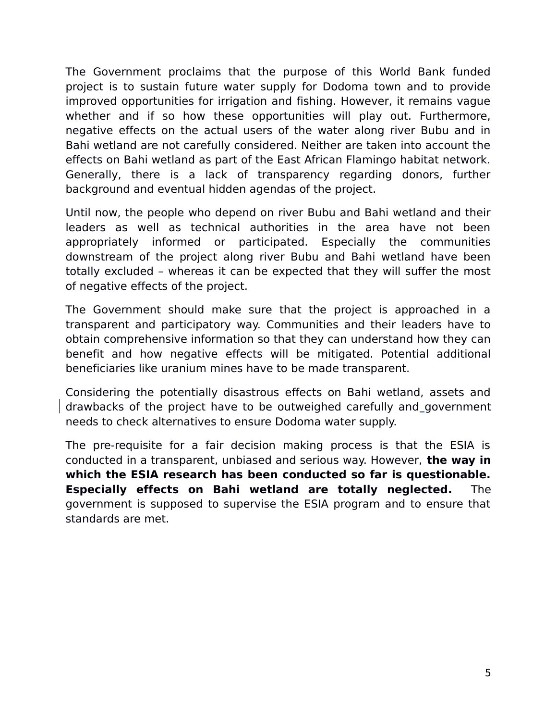The Government proclaims that the purpose of this World Bank funded project is to sustain future water supply for Dodoma town and to provide improved opportunities for irrigation and fishing. However, it remains vague whether and if so how these opportunities will play out. Furthermore, negative effects on the actual users of the water along river Bubu and in Bahi wetland are not carefully considered. Neither are taken into account the effects on Bahi wetland as part of the East African Flamingo habitat network. Generally, there is a lack of transparency regarding donors, further background and eventual hidden agendas of the project.

Until now, the people who depend on river Bubu and Bahi wetland and their leaders as well as technical authorities in the area have not been appropriately informed or participated. Especially the communities downstream of the project along river Bubu and Bahi wetland have been totally excluded – whereas it can be expected that they will suffer the most of negative effects of the project.

The Government should make sure that the project is approached in a transparent and participatory way. Communities and their leaders have to obtain comprehensive information so that they can understand how they can benefit and how negative effects will be mitigated. Potential additional beneficiaries like uranium mines have to be made transparent.

Considering the potentially disastrous effects on Bahi wetland, assets and drawbacks of the project have to be outweighed carefully and government needs to check alternatives to ensure Dodoma water supply.

The pre-requisite for a fair decision making process is that the ESIA is conducted in a transparent, unbiased and serious way. However, **the way in which the ESIA research has been conducted so far is questionable. Especially effects on Bahi wetland are totally neglected.** The government is supposed to supervise the ESIA program and to ensure that standards are met.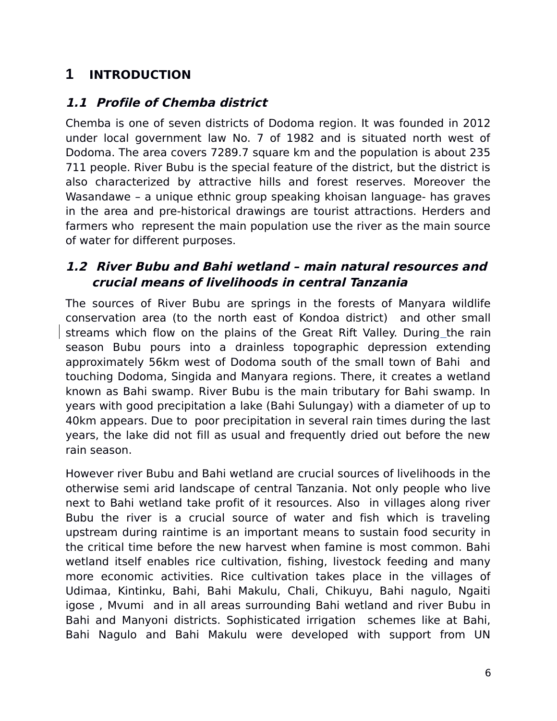# **1 INTRODUCTION**

### <span id="page-5-1"></span>**1.1 Profile of Chemba district**

Chemba is one of seven districts of Dodoma region. It was founded in 2012 under local government law No. 7 of 1982 and is situated north west of Dodoma. The area covers 7289.7 square km and the population is about 235 711 people. River Bubu is the special feature of the district, but the district is also characterized by attractive hills and forest reserves. Moreover the Wasandawe – a unique ethnic group speaking khoisan language- has graves in the area and pre-historical drawings are tourist attractions. Herders and farmers who represent the main population use the river as the main source of water for different purposes.

#### <span id="page-5-0"></span>**1.2 River Bubu and Bahi wetland – main natural resources and crucial means of livelihoods in central Tanzania**

The sources of River Bubu are springs in the forests of Manyara wildlife conservation area (to the north east of Kondoa district) and other small streams which flow on the plains of the Great Rift Valley. During the rain season Bubu pours into a drainless topographic depression extending approximately 56km west of Dodoma south of the small town of Bahi and touching Dodoma, Singida and Manyara regions. There, it creates a wetland known as Bahi swamp. River Bubu is the main tributary for Bahi swamp. In years with good precipitation a lake (Bahi Sulungay) with a diameter of up to 40km appears. Due to poor precipitation in several rain times during the last years, the lake did not fill as usual and frequently dried out before the new rain season.

However river Bubu and Bahi wetland are crucial sources of livelihoods in the otherwise semi arid landscape of central Tanzania. Not only people who live next to Bahi wetland take profit of it resources. Also in villages along river Bubu the river is a crucial source of water and fish which is traveling upstream during raintime is an important means to sustain food security in the critical time before the new harvest when famine is most common. Bahi wetland itself enables rice cultivation, fishing, livestock feeding and many more economic activities. Rice cultivation takes place in the villages of Udimaa, Kintinku, Bahi, Bahi Makulu, Chali, Chikuyu, Bahi nagulo, Ngaiti igose , Mvumi and in all areas surrounding Bahi wetland and river Bubu in Bahi and Manyoni districts. Sophisticated irrigation schemes like at Bahi, Bahi Nagulo and Bahi Makulu were developed with support from UN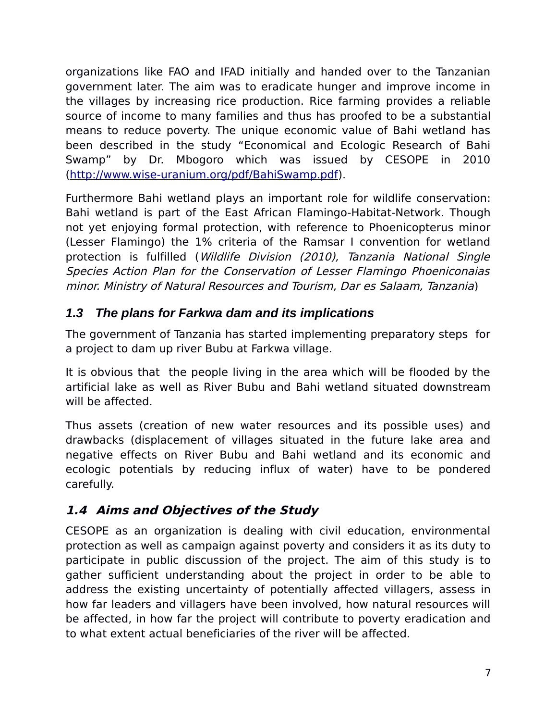organizations like FAO and IFAD initially and handed over to the Tanzanian government later. The aim was to eradicate hunger and improve income in the villages by increasing rice production. Rice farming provides a reliable source of income to many families and thus has proofed to be a substantial means to reduce poverty. The unique economic value of Bahi wetland has been described in the study "Economical and Ecologic Research of Bahi Swamp" by Dr. Mbogoro which was issued by CESOPE in 2010 [\(http://www.wise-uranium.org/pdf/BahiSwamp.pdf\)](http://www.wise-uranium.org/pdf/BahiSwamp.pdf).

Furthermore Bahi wetland plays an important role for wildlife conservation: Bahi wetland is part of the East African Flamingo-Habitat-Network. Though not yet enjoying formal protection, with reference to Phoenicopterus minor (Lesser Flamingo) the 1% criteria of the Ramsar I convention for wetland protection is fulfilled (Wildlife Division (2010), Tanzania National Single Species Action Plan for the Conservation of Lesser Flamingo Phoeniconaias minor. Ministry of Natural Resources and Tourism, Dar es Salaam, Tanzania)

### <span id="page-6-1"></span>*1.3 The plans for Farkwa dam and its implications*

The government of Tanzania has started implementing preparatory steps for a project to dam up river Bubu at Farkwa village.

It is obvious that the people living in the area which will be flooded by the artificial lake as well as River Bubu and Bahi wetland situated downstream will be affected.

Thus assets (creation of new water resources and its possible uses) and drawbacks (displacement of villages situated in the future lake area and negative effects on River Bubu and Bahi wetland and its economic and ecologic potentials by reducing influx of water) have to be pondered carefully.

# <span id="page-6-0"></span>**1.4 Aims and Objectives of the Study**

CESOPE as an organization is dealing with civil education, environmental protection as well as campaign against poverty and considers it as its duty to participate in public discussion of the project. The aim of this study is to gather sufficient understanding about the project in order to be able to address the existing uncertainty of potentially affected villagers, assess in how far leaders and villagers have been involved, how natural resources will be affected, in how far the project will contribute to poverty eradication and to what extent actual beneficiaries of the river will be affected.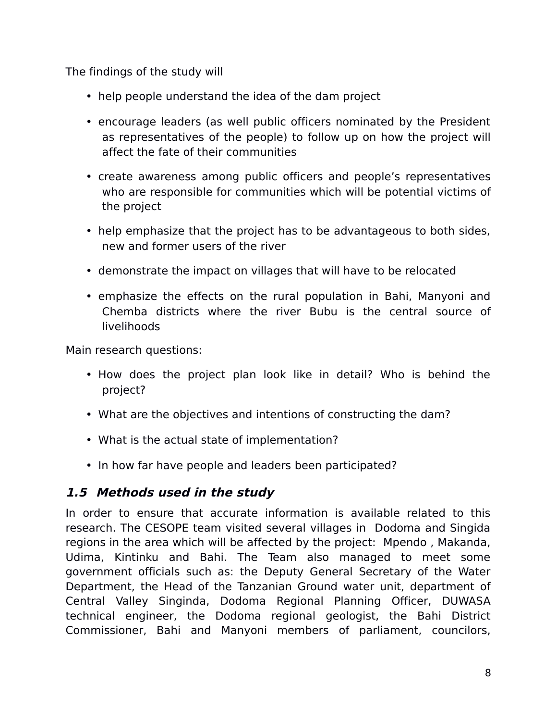The findings of the study will

- help people understand the idea of the dam project
- encourage leaders (as well public officers nominated by the President as representatives of the people) to follow up on how the project will affect the fate of their communities
- create awareness among public officers and people's representatives who are responsible for communities which will be potential victims of the project
- help emphasize that the project has to be advantageous to both sides, new and former users of the river
- demonstrate the impact on villages that will have to be relocated
- emphasize the effects on the rural population in Bahi, Manyoni and Chemba districts where the river Bubu is the central source of livelihoods

Main research questions:

- How does the project plan look like in detail? Who is behind the project?
- What are the objectives and intentions of constructing the dam?
- What is the actual state of implementation?
- In how far have people and leaders been participated?

### <span id="page-7-0"></span>**1.5 Methods used in the study**

In order to ensure that accurate information is available related to this research. The CESOPE team visited several villages in Dodoma and Singida regions in the area which will be affected by the project: Mpendo , Makanda, Udima, Kintinku and Bahi. The Team also managed to meet some government officials such as: the Deputy General Secretary of the Water Department, the Head of the Tanzanian Ground water unit, department of Central Valley Singinda, Dodoma Regional Planning Officer, DUWASA technical engineer, the Dodoma regional geologist, the Bahi District Commissioner, Bahi and Manyoni members of parliament, councilors,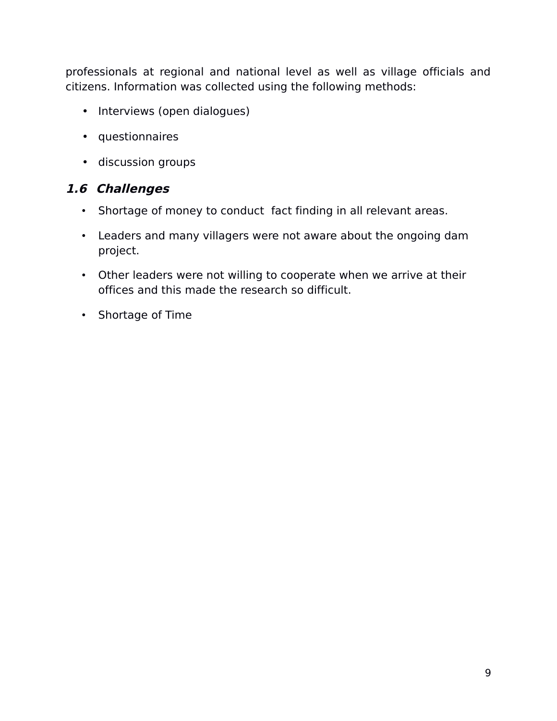professionals at regional and national level as well as village officials and citizens. Information was collected using the following methods:

- Interviews (open dialogues)
- questionnaires
- discussion groups

#### **1.6 Challenges**

- <span id="page-8-0"></span>• Shortage of money to conduct fact finding in all relevant areas.
- Leaders and many villagers were not aware about the ongoing dam project.
- Other leaders were not willing to cooperate when we arrive at their offices and this made the research so difficult.
- Shortage of Time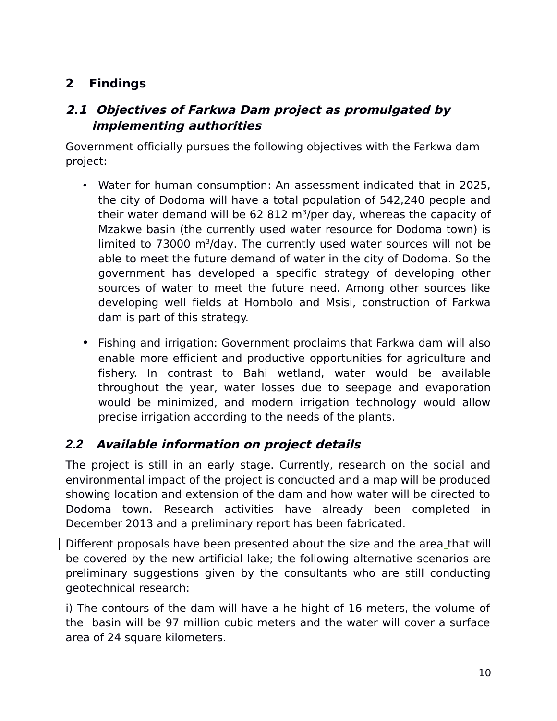# **2 Findings**

# <span id="page-9-1"></span>**2.1 Objectives of Farkwa Dam project as promulgated by implementing authorities**

Government officially pursues the following objectives with the Farkwa dam project:

- Water for human consumption: An assessment indicated that in 2025, the city of Dodoma will have a total population of 542,240 people and their water demand will be 62 812 m<sup>3</sup>/per day, whereas the capacity of Mzakwe basin (the currently used water resource for Dodoma town) is limited to 73000 m<sup>3</sup>/day. The currently used water sources will not be able to meet the future demand of water in the city of Dodoma. So the government has developed a specific strategy of developing other sources of water to meet the future need. Among other sources like developing well fields at Hombolo and Msisi, construction of Farkwa dam is part of this strategy.
- Fishing and irrigation: Government proclaims that Farkwa dam will also enable more efficient and productive opportunities for agriculture and fishery. In contrast to Bahi wetland, water would be available throughout the year, water losses due to seepage and evaporation would be minimized, and modern irrigation technology would allow precise irrigation according to the needs of the plants.

### <span id="page-9-0"></span>*2.2* **Available information on project details**

The project is still in an early stage. Currently, research on the social and environmental impact of the project is conducted and a map will be produced showing location and extension of the dam and how water will be directed to Dodoma town. Research activities have already been completed in December 2013 and a preliminary report has been fabricated.

Different proposals have been presented about the size and the area that will be covered by the new artificial lake; the following alternative scenarios are preliminary suggestions given by the consultants who are still conducting geotechnical research:

i) The contours of the dam will have a he hight of 16 meters, the volume of the basin will be 97 million cubic meters and the water will cover a surface area of 24 square kilometers.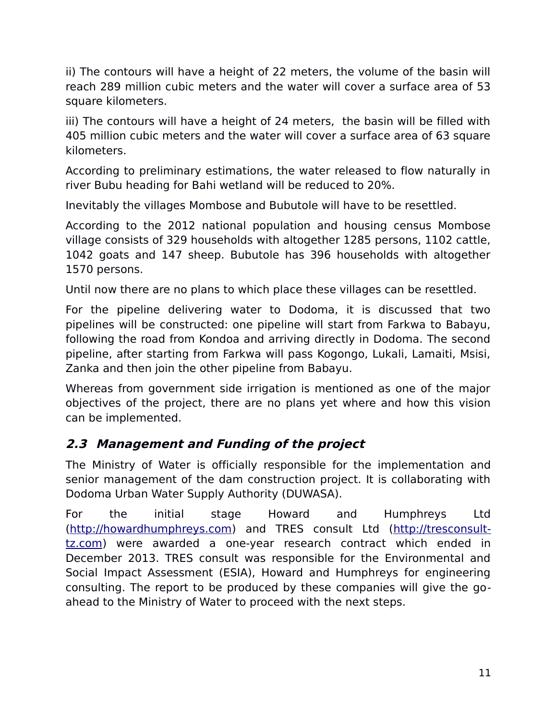ii) The contours will have a height of 22 meters, the volume of the basin will reach 289 million cubic meters and the water will cover a surface area of 53 square kilometers.

iii) The contours will have a height of 24 meters, the basin will be filled with 405 million cubic meters and the water will cover a surface area of 63 square kilometers.

According to preliminary estimations, the water released to flow naturally in river Bubu heading for Bahi wetland will be reduced to 20%.

Inevitably the villages Mombose and Bubutole will have to be resettled.

According to the 2012 national population and housing census Mombose village consists of 329 households with altogether 1285 persons, 1102 cattle, 1042 goats and 147 sheep. Bubutole has 396 households with altogether 1570 persons.

Until now there are no plans to which place these villages can be resettled.

For the pipeline delivering water to Dodoma, it is discussed that two pipelines will be constructed: one pipeline will start from Farkwa to Babayu, following the road from Kondoa and arriving directly in Dodoma. The second pipeline, after starting from Farkwa will pass Kogongo, Lukali, Lamaiti, Msisi, Zanka and then join the other pipeline from Babayu.

Whereas from government side irrigation is mentioned as one of the major objectives of the project, there are no plans yet where and how this vision can be implemented.

### <span id="page-10-0"></span>**2.3 Management and Funding of the project**

The Ministry of Water is officially responsible for the implementation and senior management of the dam construction project. It is collaborating with Dodoma Urban Water Supply Authority (DUWASA).

For the initial stage Howard and Humphreys Ltd [\(http://howardhumphreys.com\)](http://howardhumphreys.com/) and TRES consult Ltd [\(http://tresconsult](http://tresconsult-tz.com/)[tz.com\)](http://tresconsult-tz.com/) were awarded a one-year research contract which ended in December 2013. TRES consult was responsible for the Environmental and Social Impact Assessment (ESIA), Howard and Humphreys for engineering consulting. The report to be produced by these companies will give the goahead to the Ministry of Water to proceed with the next steps.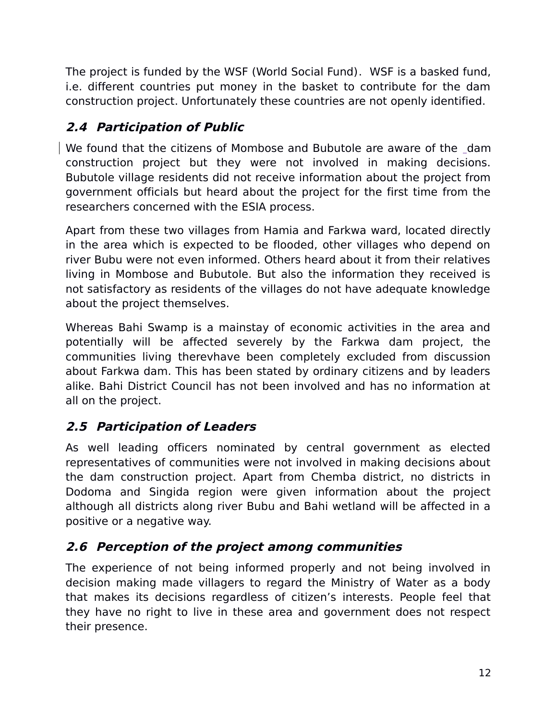The project is funded by the WSF (World Social Fund). WSF is a basked fund, i.e. different countries put money in the basket to contribute for the dam construction project. Unfortunately these countries are not openly identified.

# <span id="page-11-2"></span>**2.4 Participation of Public**

We found that the citizens of Mombose and Bubutole are aware of the dam construction project but they were not involved in making decisions. Bubutole village residents did not receive information about the project from government officials but heard about the project for the first time from the researchers concerned with the ESIA process.

Apart from these two villages from Hamia and Farkwa ward, located directly in the area which is expected to be flooded, other villages who depend on river Bubu were not even informed. Others heard about it from their relatives living in Mombose and Bubutole. But also the information they received is not satisfactory as residents of the villages do not have adequate knowledge about the project themselves.

Whereas Bahi Swamp is a mainstay of economic activities in the area and potentially will be affected severely by the Farkwa dam project, the communities living therevhave been completely excluded from discussion about Farkwa dam. This has been stated by ordinary citizens and by leaders alike. Bahi District Council has not been involved and has no information at all on the project.

# <span id="page-11-1"></span>**2.5 Participation of Leaders**

As well leading officers nominated by central government as elected representatives of communities were not involved in making decisions about the dam construction project. Apart from Chemba district, no districts in Dodoma and Singida region were given information about the project although all districts along river Bubu and Bahi wetland will be affected in a positive or a negative way.

### <span id="page-11-0"></span>**2.6 Perception of the project among communities**

The experience of not being informed properly and not being involved in decision making made villagers to regard the Ministry of Water as a body that makes its decisions regardless of citizen's interests. People feel that they have no right to live in these area and government does not respect their presence.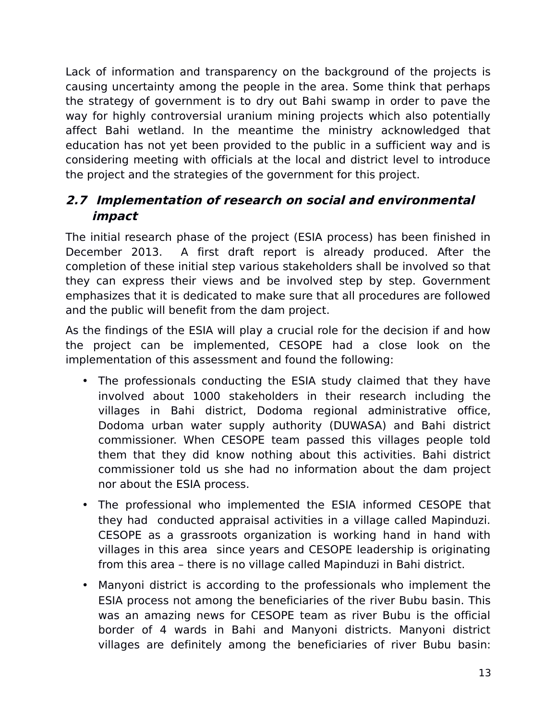Lack of information and transparency on the background of the projects is causing uncertainty among the people in the area. Some think that perhaps the strategy of government is to dry out Bahi swamp in order to pave the way for highly controversial uranium mining projects which also potentially affect Bahi wetland. In the meantime the ministry acknowledged that education has not yet been provided to the public in a sufficient way and is considering meeting with officials at the local and district level to introduce the project and the strategies of the government for this project.

# <span id="page-12-0"></span>**2.7 Implementation of research on social and environmental impact**

The initial research phase of the project (ESIA process) has been finished in December 2013. A first draft report is already produced. After the completion of these initial step various stakeholders shall be involved so that they can express their views and be involved step by step. Government emphasizes that it is dedicated to make sure that all procedures are followed and the public will benefit from the dam project.

As the findings of the ESIA will play a crucial role for the decision if and how the project can be implemented, CESOPE had a close look on the implementation of this assessment and found the following:

- The professionals conducting the ESIA study claimed that they have involved about 1000 stakeholders in their research including the villages in Bahi district, Dodoma regional administrative office, Dodoma urban water supply authority (DUWASA) and Bahi district commissioner. When CESOPE team passed this villages people told them that they did know nothing about this activities. Bahi district commissioner told us she had no information about the dam project nor about the ESIA process.
- The professional who implemented the ESIA informed CESOPE that they had conducted appraisal activities in a village called Mapinduzi. CESOPE as a grassroots organization is working hand in hand with villages in this area since years and CESOPE leadership is originating from this area – there is no village called Mapinduzi in Bahi district.
- Manyoni district is according to the professionals who implement the ESIA process not among the beneficiaries of the river Bubu basin. This was an amazing news for CESOPE team as river Bubu is the official border of 4 wards in Bahi and Manyoni districts. Manyoni district villages are definitely among the beneficiaries of river Bubu basin: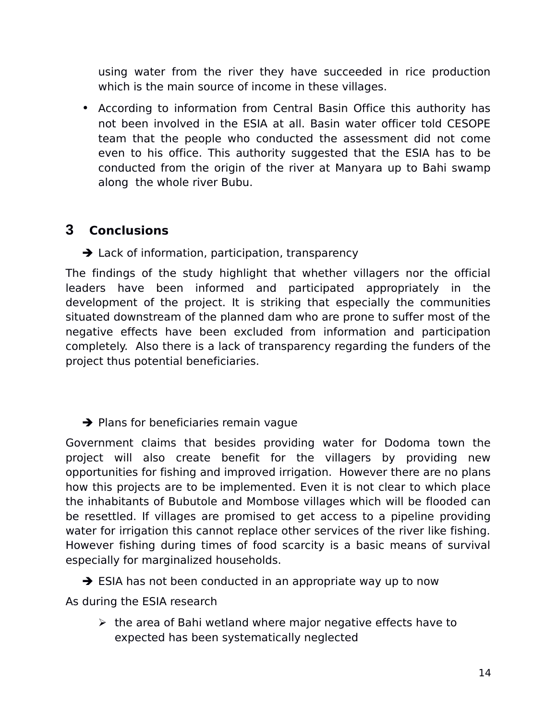using water from the river they have succeeded in rice production which is the main source of income in these villages.

• According to information from Central Basin Office this authority has not been involved in the ESIA at all. Basin water officer told CESOPE team that the people who conducted the assessment did not come even to his office. This authority suggested that the ESIA has to be conducted from the origin of the river at Manyara up to Bahi swamp along the whole river Bubu.

# **3 Conclusions**

 $\rightarrow$  Lack of information, participation, transparency

The findings of the study highlight that whether villagers nor the official leaders have been informed and participated appropriately in the development of the project. It is striking that especially the communities situated downstream of the planned dam who are prone to suffer most of the negative effects have been excluded from information and participation completely. Also there is a lack of transparency regarding the funders of the project thus potential beneficiaries.

 $\rightarrow$  Plans for beneficiaries remain vague

Government claims that besides providing water for Dodoma town the project will also create benefit for the villagers by providing new opportunities for fishing and improved irrigation. However there are no plans how this projects are to be implemented. Even it is not clear to which place the inhabitants of Bubutole and Mombose villages which will be flooded can be resettled. If villages are promised to get access to a pipeline providing water for irrigation this cannot replace other services of the river like fishing. However fishing during times of food scarcity is a basic means of survival especially for marginalized households.

 $\rightarrow$  ESIA has not been conducted in an appropriate way up to now

As during the ESIA research

 $\triangleright$  the area of Bahi wetland where major negative effects have to expected has been systematically neglected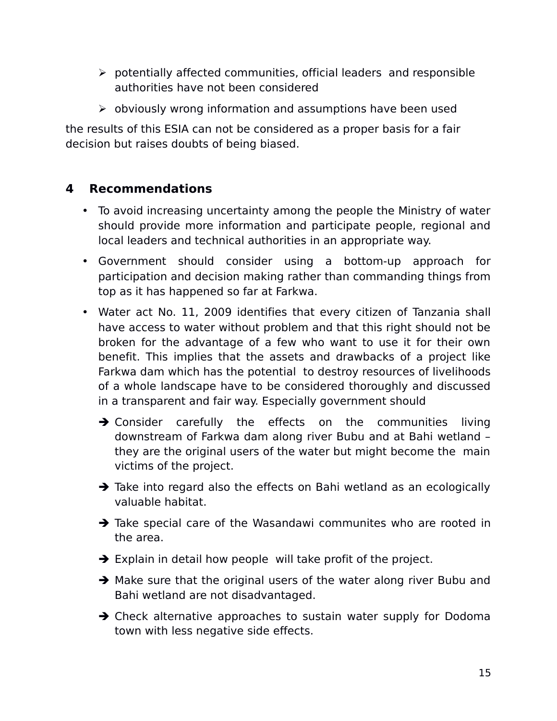- $\triangleright$  potentially affected communities, official leaders and responsible authorities have not been considered
- $\triangleright$  obviously wrong information and assumptions have been used

the results of this ESIA can not be considered as a proper basis for a fair decision but raises doubts of being biased.

# **4 Recommendations**

- To avoid increasing uncertainty among the people the Ministry of water should provide more information and participate people, regional and local leaders and technical authorities in an appropriate way.
- Government should consider using a bottom-up approach for participation and decision making rather than commanding things from top as it has happened so far at Farkwa.
- Water act No. 11, 2009 identifies that every citizen of Tanzania shall have access to water without problem and that this right should not be broken for the advantage of a few who want to use it for their own benefit. This implies that the assets and drawbacks of a project like Farkwa dam which has the potential to destroy resources of livelihoods of a whole landscape have to be considered thoroughly and discussed in a transparent and fair way. Especially government should
	- $\rightarrow$  Consider carefully the effects on the communities living downstream of Farkwa dam along river Bubu and at Bahi wetland – they are the original users of the water but might become the main victims of the project.
	- $\rightarrow$  Take into regard also the effects on Bahi wetland as an ecologically valuable habitat.
	- $\rightarrow$  Take special care of the Wasandawi communites who are rooted in the area.
	- $\rightarrow$  Explain in detail how people will take profit of the project.
	- $\rightarrow$  Make sure that the original users of the water along river Bubu and Bahi wetland are not disadvantaged.
	- $\rightarrow$  Check alternative approaches to sustain water supply for Dodoma town with less negative side effects.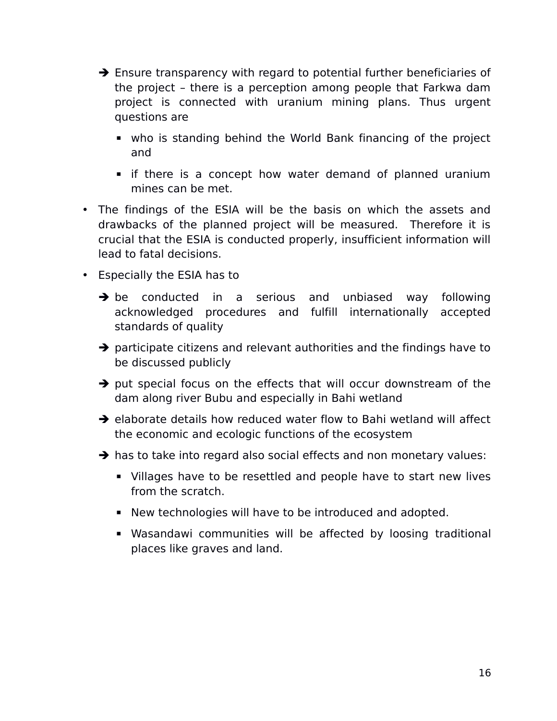- $\rightarrow$  Ensure transparency with regard to potential further beneficiaries of the project – there is a perception among people that Farkwa dam project is connected with uranium mining plans. Thus urgent questions are
	- who is standing behind the World Bank financing of the project and
	- **E** if there is a concept how water demand of planned uranium mines can be met.
- The findings of the ESIA will be the basis on which the assets and drawbacks of the planned project will be measured. Therefore it is crucial that the ESIA is conducted properly, insufficient information will lead to fatal decisions.
- Especially the ESIA has to
	- $\rightarrow$  be conducted in a serious and unbiased way following acknowledged procedures and fulfill internationally accepted standards of quality
	- $\rightarrow$  participate citizens and relevant authorities and the findings have to be discussed publicly
	- $\rightarrow$  put special focus on the effects that will occur downstream of the dam along river Bubu and especially in Bahi wetland
	- $\rightarrow$  elaborate details how reduced water flow to Bahi wetland will affect the economic and ecologic functions of the ecosystem
	- $\rightarrow$  has to take into regard also social effects and non monetary values:
		- **EXT** Villages have to be resettled and people have to start new lives from the scratch.
		- New technologies will have to be introduced and adopted.
		- **E** Wasandawi communities will be affected by loosing traditional places like graves and land.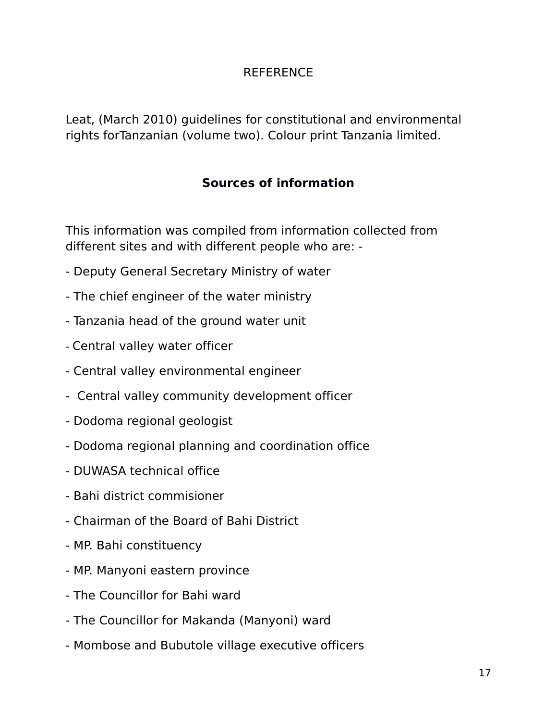#### REFERENCE

Leat, (March 2010) guidelines for constitutional and environmental rights forTanzanian (volume two). Colour print Tanzania limited.

# **Sources of information**

This information was compiled from information collected from different sites and with different people who are: -

- Deputy General Secretary Ministry of water
- The chief engineer of the water ministry
- Tanzania head of the ground water unit
- Central valley water officer
- Central valley environmental engineer
- Central valley community development officer
- Dodoma regional geologist
- Dodoma regional planning and coordination office
- DUWASA technical office
- Bahi district commisioner
- Chairman of the Board of Bahi District
- MP. Bahi constituency
- MP. Manyoni eastern province
- The Councillor for Bahi ward
- The Councillor for Makanda (Manyoni) ward
- Mombose and Bubutole village executive officers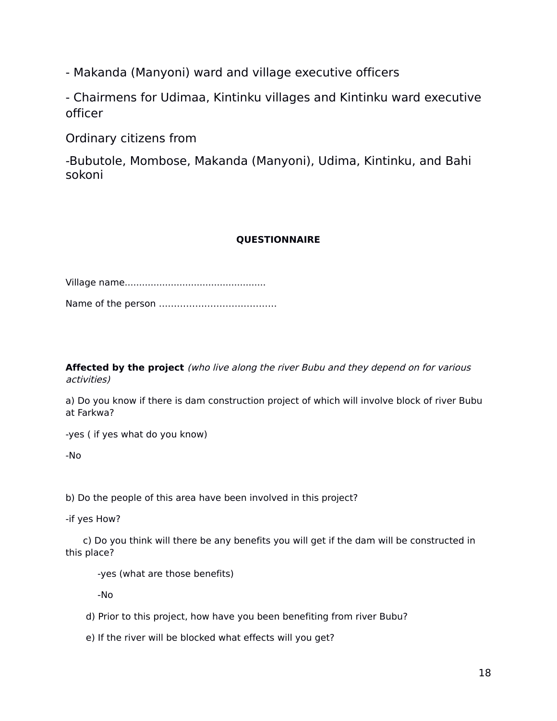- Makanda (Manyoni) ward and village executive officers

- Chairmens for Udimaa, Kintinku villages and Kintinku ward executive officer

Ordinary citizens from

-Bubutole, Mombose, Makanda (Manyoni), Udima, Kintinku, and Bahi sokoni

#### **QUESTIONNAIRE**

Village name................................................. Name of the person …………………………………

**Affected by the project** (who live along the river Bubu and they depend on for various activities)

a) Do you know if there is dam construction project of which will involve block of river Bubu at Farkwa?

-yes ( if yes what do you know)

-No

b) Do the people of this area have been involved in this project?

-if yes How?

c) Do you think will there be any benefits you will get if the dam will be constructed in this place?

-yes (what are those benefits)

-No

- d) Prior to this project, how have you been benefiting from river Bubu?
- e) If the river will be blocked what effects will you get?